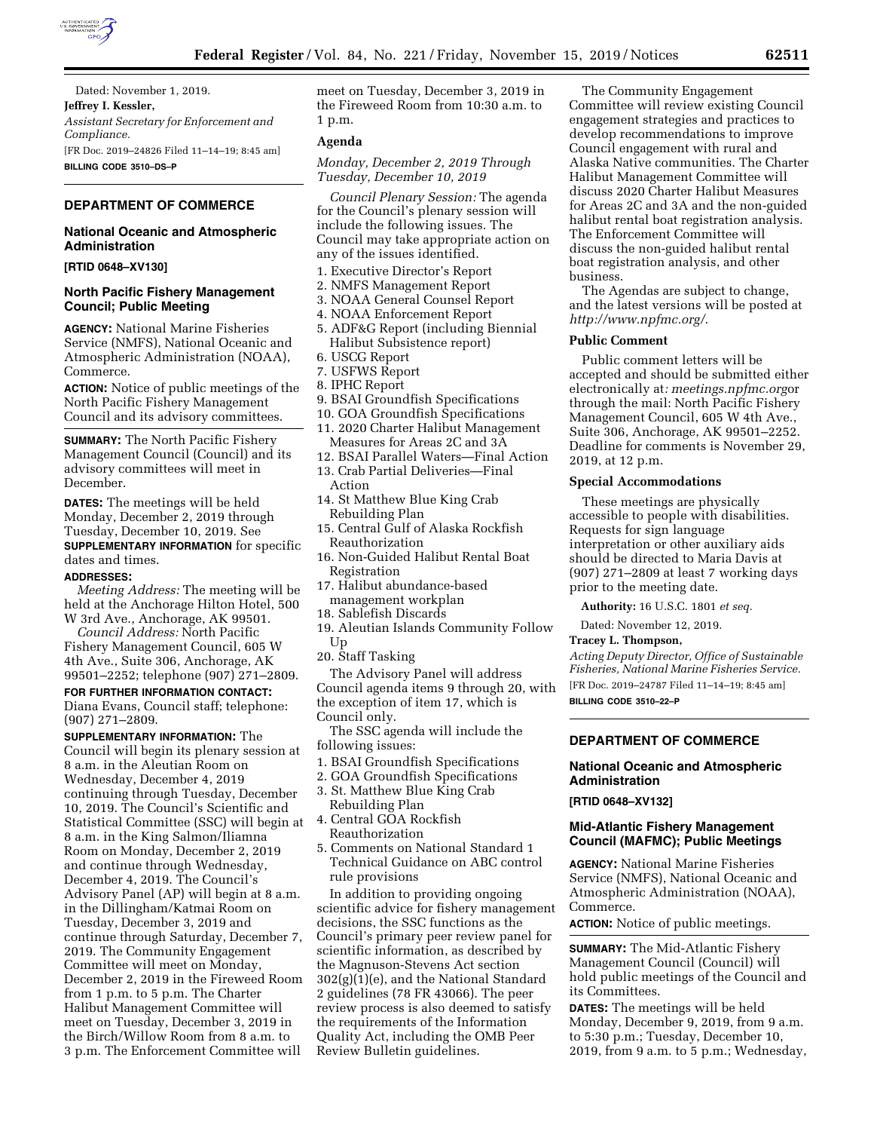

Dated: November 1, 2019. **Jeffrey I. Kessler,**  *Assistant Secretary for Enforcement and Compliance.*  [FR Doc. 2019–24826 Filed 11–14–19; 8:45 am] **BILLING CODE 3510–DS–P** 

# **DEPARTMENT OF COMMERCE**

# **National Oceanic and Atmospheric Administration**

**[RTID 0648–XV130]** 

### **North Pacific Fishery Management Council; Public Meeting**

**AGENCY:** National Marine Fisheries Service (NMFS), National Oceanic and Atmospheric Administration (NOAA), Commerce.

**ACTION:** Notice of public meetings of the North Pacific Fishery Management Council and its advisory committees.

**SUMMARY:** The North Pacific Fishery Management Council (Council) and its advisory committees will meet in December.

**DATES:** The meetings will be held Monday, December 2, 2019 through Tuesday, December 10, 2019. See **SUPPLEMENTARY INFORMATION** for specific dates and times.

#### **ADDRESSES:**

*Meeting Address:* The meeting will be held at the Anchorage Hilton Hotel, 500 W 3rd Ave., Anchorage, AK 99501.

*Council Address:* North Pacific Fishery Management Council, 605 W 4th Ave., Suite 306, Anchorage, AK 99501–2252; telephone (907) 271–2809.

# **FOR FURTHER INFORMATION CONTACT:**

Diana Evans, Council staff; telephone: (907) 271–2809.

**SUPPLEMENTARY INFORMATION:** The Council will begin its plenary session at 8 a.m. in the Aleutian Room on Wednesday, December 4, 2019 continuing through Tuesday, December 10, 2019. The Council's Scientific and Statistical Committee (SSC) will begin at 8 a.m. in the King Salmon/Iliamna Room on Monday, December 2, 2019 and continue through Wednesday, December 4, 2019. The Council's Advisory Panel (AP) will begin at 8 a.m. in the Dillingham/Katmai Room on Tuesday, December 3, 2019 and continue through Saturday, December 7, 2019. The Community Engagement Committee will meet on Monday, December 2, 2019 in the Fireweed Room from 1 p.m. to 5 p.m. The Charter Halibut Management Committee will meet on Tuesday, December 3, 2019 in the Birch/Willow Room from 8 a.m. to 3 p.m. The Enforcement Committee will

meet on Tuesday, December 3, 2019 in the Fireweed Room from 10:30 a.m. to 1 p.m.

#### **Agenda**

*Monday, December 2, 2019 Through Tuesday, December 10, 2019* 

*Council Plenary Session:* The agenda for the Council's plenary session will include the following issues. The Council may take appropriate action on any of the issues identified.

- 1. Executive Director's Report
- 2. NMFS Management Report
- 3. NOAA General Counsel Report
- 4. NOAA Enforcement Report
- 5. ADF&G Report (including Biennial Halibut Subsistence report)
- 6. USCG Report
- 7. USFWS Report
- 8. IPHC Report
- 9. BSAI Groundfish Specifications
- 10. GOA Groundfish Specifications
- 11. 2020 Charter Halibut Management Measures for Areas 2C and 3A
- 12. BSAI Parallel Waters—Final Action
- 13. Crab Partial Deliveries—Final Action
- 14. St Matthew Blue King Crab Rebuilding Plan
- 15. Central Gulf of Alaska Rockfish Reauthorization
- 16. Non-Guided Halibut Rental Boat Registration
- 17. Halibut abundance-based management workplan
- 18. Sablefish Discards
- 19. Aleutian Islands Community Follow Up
- 20. Staff Tasking

The Advisory Panel will address Council agenda items 9 through 20, with the exception of item 17, which is Council only.

The SSC agenda will include the following issues:

- 1. BSAI Groundfish Specifications
- 2. GOA Groundfish Specifications
- 3. St. Matthew Blue King Crab Rebuilding Plan
- 4. Central GOA Rockfish Reauthorization
- 5. Comments on National Standard 1 Technical Guidance on ABC control rule provisions

In addition to providing ongoing scientific advice for fishery management decisions, the SSC functions as the Council's primary peer review panel for scientific information, as described by the Magnuson-Stevens Act section 302(g)(1)(e), and the National Standard 2 guidelines (78 FR 43066). The peer review process is also deemed to satisfy the requirements of the Information Quality Act, including the OMB Peer Review Bulletin guidelines.

The Community Engagement Committee will review existing Council engagement strategies and practices to develop recommendations to improve Council engagement with rural and Alaska Native communities. The Charter Halibut Management Committee will discuss 2020 Charter Halibut Measures for Areas 2C and 3A and the non-guided halibut rental boat registration analysis. The Enforcement Committee will discuss the non-guided halibut rental boat registration analysis, and other business.

The Agendas are subject to change, and the latest versions will be posted at *<http://www.npfmc.org/>*.

### **Public Comment**

Public comment letters will be accepted and should be submitted either electronically at*: meetings.npfmc.org*or through the mail: North Pacific Fishery Management Council, 605 W 4th Ave., Suite 306, Anchorage, AK 99501–2252. Deadline for comments is November 29, 2019, at 12 p.m.

#### **Special Accommodations**

These meetings are physically accessible to people with disabilities. Requests for sign language interpretation or other auxiliary aids should be directed to Maria Davis at (907) 271–2809 at least 7 working days prior to the meeting date.

**Authority:** 16 U.S.C. 1801 *et seq.* 

Dated: November 12, 2019.

#### **Tracey L. Thompson,**

*Acting Deputy Director, Office of Sustainable Fisheries, National Marine Fisheries Service.*  [FR Doc. 2019–24787 Filed 11–14–19; 8:45 am] **BILLING CODE 3510–22–P** 

# **DEPARTMENT OF COMMERCE**

# **National Oceanic and Atmospheric Administration**

**[RTID 0648–XV132]** 

# **Mid-Atlantic Fishery Management Council (MAFMC); Public Meetings**

**AGENCY:** National Marine Fisheries Service (NMFS), National Oceanic and Atmospheric Administration (NOAA), Commerce.

**ACTION:** Notice of public meetings.

**SUMMARY:** The Mid-Atlantic Fishery Management Council (Council) will hold public meetings of the Council and its Committees.

**DATES:** The meetings will be held Monday, December 9, 2019, from 9 a.m. to 5:30 p.m.; Tuesday, December 10, 2019, from 9 a.m. to 5 p.m.; Wednesday,